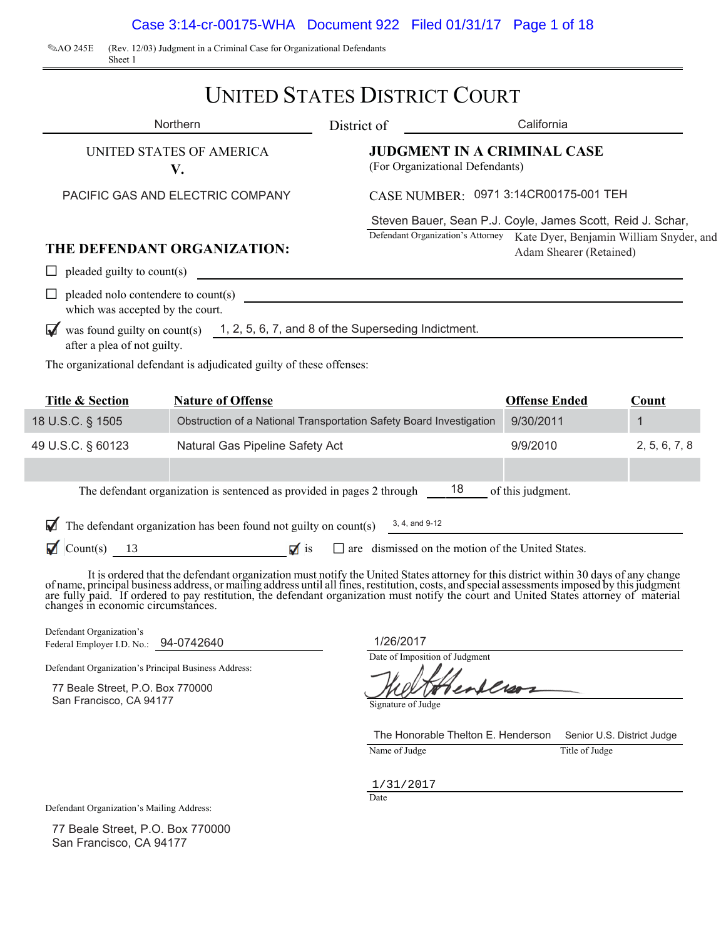Case 3:14-cr-00175-WHA Document 922 Filed 01/31/17 Page 1 of 18

2AO 245E (Rev. 12/03) Judgment in a Criminal Case for Organizational Defendants Sheet 1

## UNITED STATES DISTRICT COURT

|                                                                   | Northern                                                                                                                                                                                                                       | District of        |                                    | California                                                                                                                                                         |                            |
|-------------------------------------------------------------------|--------------------------------------------------------------------------------------------------------------------------------------------------------------------------------------------------------------------------------|--------------------|------------------------------------|--------------------------------------------------------------------------------------------------------------------------------------------------------------------|----------------------------|
|                                                                   | UNITED STATES OF AMERICA<br>V.                                                                                                                                                                                                 |                    | (For Organizational Defendants)    | <b>JUDGMENT IN A CRIMINAL CASE</b>                                                                                                                                 |                            |
| PACIFIC GAS AND ELECTRIC COMPANY                                  |                                                                                                                                                                                                                                |                    |                                    | CASE NUMBER: 0971 3:14CR00175-001 TEH                                                                                                                              |                            |
|                                                                   | THE DEFENDANT ORGANIZATION:                                                                                                                                                                                                    |                    |                                    | Steven Bauer, Sean P.J. Coyle, James Scott, Reid J. Schar,<br>Defendant Organization's Attorney Kate Dyer, Benjamin William Snyder, and<br>Adam Shearer (Retained) |                            |
| $\Box$                                                            | pleaded guilty to count(s)                                                                                                                                                                                                     |                    |                                    |                                                                                                                                                                    |                            |
| which was accepted by the court.                                  | pleaded nolo contendere to count(s)                                                                                                                                                                                            |                    |                                    |                                                                                                                                                                    |                            |
|                                                                   | was found guilty on $count(s)$ 1, 2, 5, 6, 7, and 8 of the Superseding Indictment.                                                                                                                                             |                    |                                    | <u> 1989 - Johann John Stone, mars et al. 1989 - John Stone, mars et al. 1989 - John Stone, mars et al. 1989 - Joh</u>                                             |                            |
| after a plea of not guilty.                                       | The organizational defendant is adjudicated guilty of these offenses:                                                                                                                                                          |                    |                                    |                                                                                                                                                                    |                            |
|                                                                   |                                                                                                                                                                                                                                |                    |                                    |                                                                                                                                                                    |                            |
| <b>Title &amp; Section</b>                                        | <b>Nature of Offense</b>                                                                                                                                                                                                       |                    |                                    | <b>Offense Ended</b>                                                                                                                                               | Count                      |
| 18 U.S.C. § 1505                                                  | Obstruction of a National Transportation Safety Board Investigation                                                                                                                                                            |                    |                                    | 9/30/2011                                                                                                                                                          | $\mathbf{1}$               |
| 49 U.S.C. § 60123                                                 | Natural Gas Pipeline Safety Act                                                                                                                                                                                                |                    |                                    | 9/9/2010                                                                                                                                                           | 2, 5, 6, 7, 8              |
|                                                                   |                                                                                                                                                                                                                                |                    |                                    |                                                                                                                                                                    |                            |
|                                                                   | The defendant organization is sentenced as provided in pages 2 through 18                                                                                                                                                      |                    |                                    | of this judgment.                                                                                                                                                  |                            |
|                                                                   | The defendant organization has been found not guilty on count(s) $\frac{3, 4, \text{ and } 9.12}{\sqrt{36}}$                                                                                                                   |                    |                                    |                                                                                                                                                                    |                            |
|                                                                   | Count(s) 13 $\blacksquare$ is $\blacksquare$ are dismissed on the motion of the United States.                                                                                                                                 |                    |                                    |                                                                                                                                                                    |                            |
|                                                                   | It is ordered that the defendant organization must notify the United States attorney for this district within 30 days of any change of name, principal business address, or mailing address until all fines, restitution, cost |                    |                                    |                                                                                                                                                                    |                            |
| Defendant Organization's<br>Federal Employer I.D. No.: 94-0742640 |                                                                                                                                                                                                                                | 1/26/2017          |                                    |                                                                                                                                                                    |                            |
| Defendant Organization's Principal Business Address:              |                                                                                                                                                                                                                                |                    | Date of Imposition of Judgment     |                                                                                                                                                                    |                            |
| 77 Beale Street, P.O. Box 770000                                  |                                                                                                                                                                                                                                |                    |                                    | allros                                                                                                                                                             |                            |
| San Francisco, CA 94177                                           |                                                                                                                                                                                                                                | Signature of Judge |                                    |                                                                                                                                                                    |                            |
|                                                                   |                                                                                                                                                                                                                                |                    | The Honorable Thelton E. Henderson |                                                                                                                                                                    | Senior U.S. District Judge |
|                                                                   |                                                                                                                                                                                                                                | Name of Judge      |                                    | Title of Judge                                                                                                                                                     |                            |
|                                                                   |                                                                                                                                                                                                                                | 1/31/2017          |                                    |                                                                                                                                                                    |                            |
|                                                                   |                                                                                                                                                                                                                                | Date               |                                    |                                                                                                                                                                    |                            |

Defendant Organization's Mailing Address:

77 Beale Street, P.O. Box 770000 San Francisco, CA 94177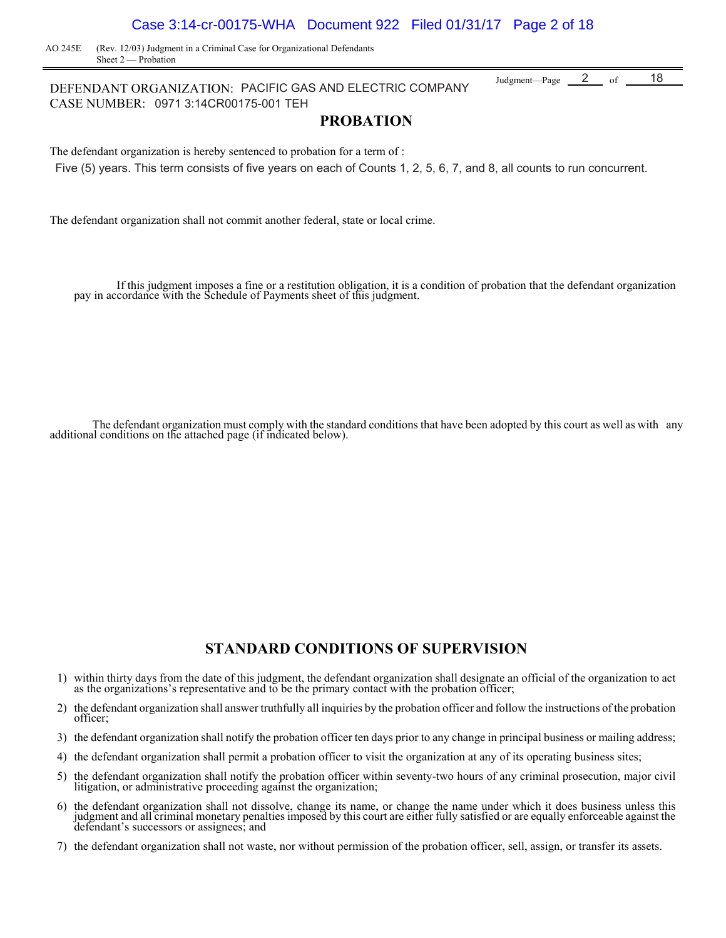### Case 3:14-cr-00175-WHA Document 922 Filed 01/31/17 Page 2 of 18

AO 245E (Rev. 12/03) Judgment in a Criminal Case for Organizational Defendants Sheet 2 — Probation

DEFENDANT ORGANIZATION: PACIFIC GAS AND ELECTRIC COMPANY Judgment—Page 2 of CASE NUMBER: 0971 3:14CR00175-001 TEH 2  $_{\text{of}}$  18

### **PROBATION**

The defendant organization is hereby sentenced to probation for a term of : Five (5) years. This term consists of five years on each of Counts 1, 2, 5, 6, 7, and 8, all counts to run concurrent.

The defendant organization shall not commit another federal, state or local crime.

If this judgment imposes a fine or a restitution obligation, it is a condition of probation that the defendant organization pay in accordance with the Schedule of Payments sheet of this judgment.

 The defendant organization must comply with the standard conditions that have been adopted by this court as well as with any additional conditions on the attached page (if indicated below).

### **STANDARD CONDITIONS OF SUPERVISION**

- 1) within thirty days from the date of this judgment, the defendant organization shall designate an official of the organization to act as the organizations's representative and to be the primary contact with the probation officer;
- 2) the defendant organization shall answer truthfully all inquiries by the probation officer and follow the instructions of the probation officer;
- 3) the defendant organization shall notify the probation officer ten days prior to any change in principal business or mailing address;
- 4) the defendant organization shall permit a probation officer to visit the organization at any of its operating business sites;
- 5) the defendant organization shall notify the probation officer within seventy-two hours of any criminal prosecution, major civil litigation, or administrative proceeding against the organization;
- 6) the defendant organization shall not dissolve, change its name, or change the name under which it does business unless this judgment and all criminal monetary penalties imposed by this court are either fully satisfied o defendant's successors or assignees; and
- 7) the defendant organization shall not waste, nor without permission of the probation officer, sell, assign, or transfer its assets.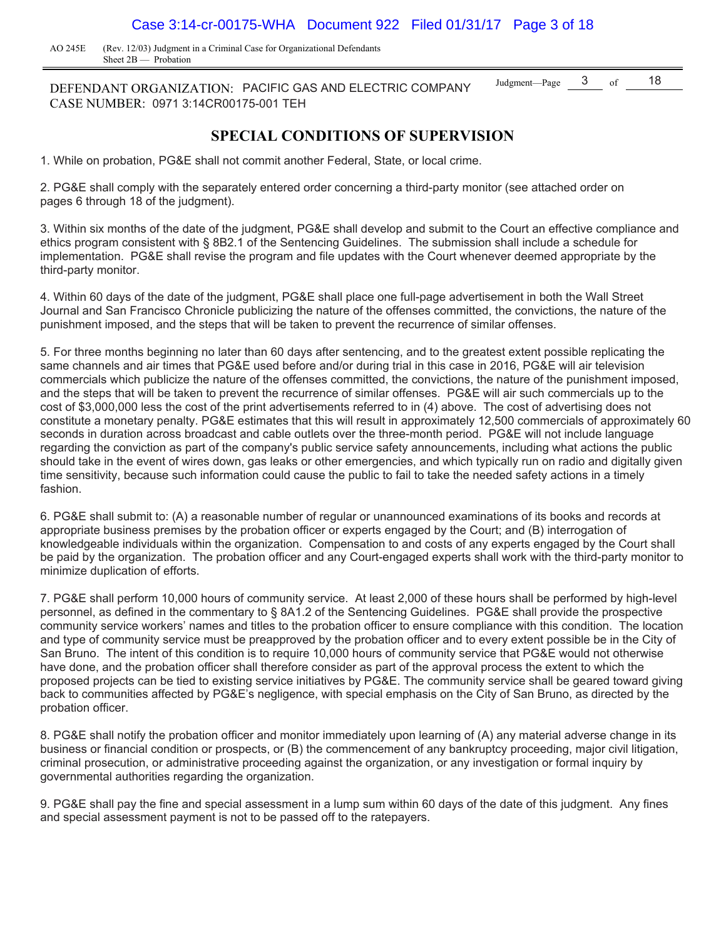AO 245E (Rev. 12/03) Judgment in a Criminal Case for Organizational Defendants Sheet 2B — Probation

DEFENDANT ORGANIZATION: PACIFIC GAS AND ELECTRIC COMPANY  $^{Judgment-Page}$   $\frac{3}{2}$  of  $\frac{18}{2}$ CASE NUMBER: 0971 3:14CR00175-001 TEH

### **SPECIAL CONDITIONS OF SUPERVISION**

1. While on probation, PG&E shall not commit another Federal, State, or local crime.

2. PG&E shall comply with the separately entered order concerning a third-party monitor (see attached order on pages 6 through 18 of the judgment).

3. Within six months of the date of the judgment, PG&E shall develop and submit to the Court an effective compliance and ethics program consistent with § 8B2.1 of the Sentencing Guidelines. The submission shall include a schedule for implementation. PG&E shall revise the program and file updates with the Court whenever deemed appropriate by the third-party monitor.

4. Within 60 days of the date of the judgment, PG&E shall place one full-page advertisement in both the Wall Street Journal and San Francisco Chronicle publicizing the nature of the offenses committed, the convictions, the nature of the punishment imposed, and the steps that will be taken to prevent the recurrence of similar offenses.

5. For three months beginning no later than 60 days after sentencing, and to the greatest extent possible replicating the same channels and air times that PG&E used before and/or during trial in this case in 2016, PG&E will air television commercials which publicize the nature of the offenses committed, the convictions, the nature of the punishment imposed, and the steps that will be taken to prevent the recurrence of similar offenses. PG&E will air such commercials up to the cost of \$3,000,000 less the cost of the print advertisements referred to in (4) above. The cost of advertising does not constitute a monetary penalty. PG&E estimates that this will result in approximately 12,500 commercials of approximately 60 seconds in duration across broadcast and cable outlets over the three-month period. PG&E will not include language regarding the conviction as part of the company's public service safety announcements, including what actions the public should take in the event of wires down, gas leaks or other emergencies, and which typically run on radio and digitally given time sensitivity, because such information could cause the public to fail to take the needed safety actions in a timely fashion.

6. PG&E shall submit to: (A) a reasonable number of regular or unannounced examinations of its books and records at appropriate business premises by the probation officer or experts engaged by the Court; and (B) interrogation of knowledgeable individuals within the organization. Compensation to and costs of any experts engaged by the Court shall be paid by the organization. The probation officer and any Court-engaged experts shall work with the third-party monitor to minimize duplication of efforts.

7. PG&E shall perform 10,000 hours of community service. At least 2,000 of these hours shall be performed by high-level personnel, as defined in the commentary to § 8A1.2 of the Sentencing Guidelines. PG&E shall provide the prospective community service workers' names and titles to the probation officer to ensure compliance with this condition. The location and type of community service must be preapproved by the probation officer and to every extent possible be in the City of San Bruno. The intent of this condition is to require 10,000 hours of community service that PG&E would not otherwise have done, and the probation officer shall therefore consider as part of the approval process the extent to which the proposed projects can be tied to existing service initiatives by PG&E. The community service shall be geared toward giving back to communities affected by PG&E's negligence, with special emphasis on the City of San Bruno, as directed by the probation officer.

8. PG&E shall notify the probation officer and monitor immediately upon learning of (A) any material adverse change in its business or financial condition or prospects, or (B) the commencement of any bankruptcy proceeding, major civil litigation, criminal prosecution, or administrative proceeding against the organization, or any investigation or formal inquiry by governmental authorities regarding the organization.

9. PG&E shall pay the fine and special assessment in a lump sum within 60 days of the date of this judgment. Any fines and special assessment payment is not to be passed off to the ratepayers.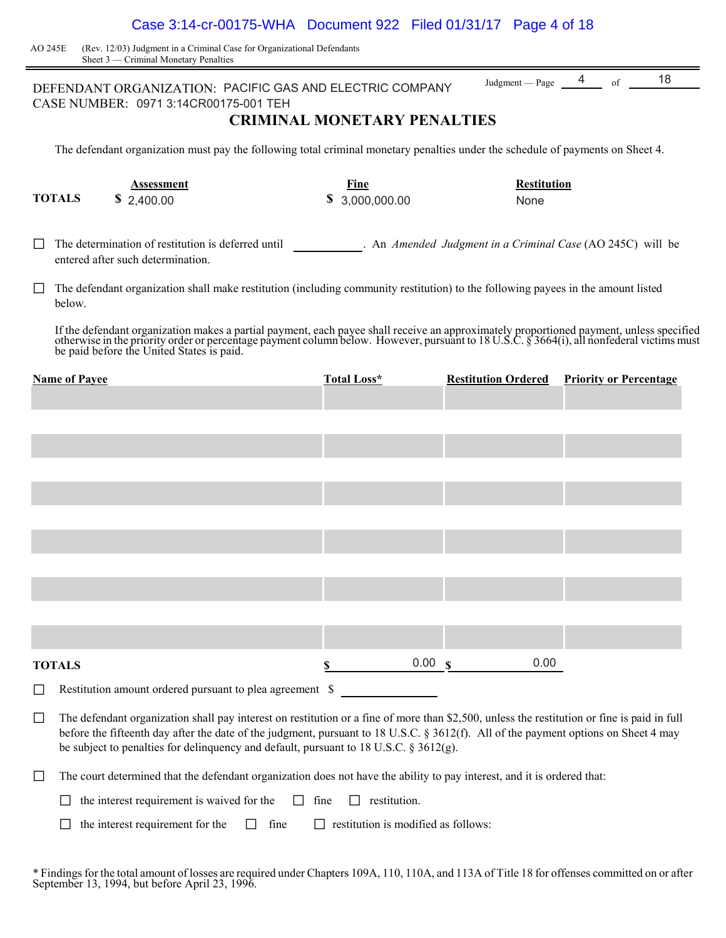### Case 3:14-cr-00175-WHA Document 922 Filed 01/31/17 Page 4 of 18

 AO 245E (Rev. 12/03) Judgment in a Criminal Case for Organizational Defendants Sheet 3 — Criminal Monetary Penalties

|        |                                                                                                                                                                                                                                                                                                                                                                             | DEFENDANT ORGANIZATION: PACIFIC GAS AND ELECTRIC COMPANY                                                                                           |                                            | Judgment $-\text{Page}$ 4 of | 18                            |  |  |
|--------|-----------------------------------------------------------------------------------------------------------------------------------------------------------------------------------------------------------------------------------------------------------------------------------------------------------------------------------------------------------------------------|----------------------------------------------------------------------------------------------------------------------------------------------------|--------------------------------------------|------------------------------|-------------------------------|--|--|
|        |                                                                                                                                                                                                                                                                                                                                                                             | CASE NUMBER: 0971 3:14CR00175-001 TEH                                                                                                              | <b>CRIMINAL MONETARY PENALTIES</b>         |                              |                               |  |  |
|        | The defendant organization must pay the following total criminal monetary penalties under the schedule of payments on Sheet 4.                                                                                                                                                                                                                                              |                                                                                                                                                    |                                            |                              |                               |  |  |
|        | <b>TOTALS</b>                                                                                                                                                                                                                                                                                                                                                               | <b>Assessment</b><br>\$2,400.00                                                                                                                    | Fine<br>\$3,000,000.00                     | <b>Restitution</b><br>None   |                               |  |  |
|        |                                                                                                                                                                                                                                                                                                                                                                             | The determination of restitution is deferred until The Annended Judgment in a Criminal Case (AO 245C) will be<br>entered after such determination. |                                            |                              |                               |  |  |
| $\Box$ | below.                                                                                                                                                                                                                                                                                                                                                                      | The defendant organization shall make restitution (including community restitution) to the following payees in the amount listed                   |                                            |                              |                               |  |  |
|        | If the defendant organization makes a partial payment, each payee shall receive an approximately proportioned payment, unless specified otherwise in the priority order or percentage payment column below. However, pursuant                                                                                                                                               |                                                                                                                                                    |                                            |                              |                               |  |  |
|        | <b>Name of Payee</b>                                                                                                                                                                                                                                                                                                                                                        |                                                                                                                                                    | Total Loss*                                | <b>Restitution Ordered</b>   | <b>Priority or Percentage</b> |  |  |
|        |                                                                                                                                                                                                                                                                                                                                                                             |                                                                                                                                                    |                                            |                              |                               |  |  |
|        |                                                                                                                                                                                                                                                                                                                                                                             |                                                                                                                                                    |                                            |                              |                               |  |  |
|        |                                                                                                                                                                                                                                                                                                                                                                             |                                                                                                                                                    |                                            |                              |                               |  |  |
|        |                                                                                                                                                                                                                                                                                                                                                                             |                                                                                                                                                    |                                            |                              |                               |  |  |
|        |                                                                                                                                                                                                                                                                                                                                                                             |                                                                                                                                                    |                                            |                              |                               |  |  |
|        |                                                                                                                                                                                                                                                                                                                                                                             |                                                                                                                                                    |                                            |                              |                               |  |  |
|        |                                                                                                                                                                                                                                                                                                                                                                             |                                                                                                                                                    |                                            |                              |                               |  |  |
|        |                                                                                                                                                                                                                                                                                                                                                                             |                                                                                                                                                    |                                            |                              |                               |  |  |
|        |                                                                                                                                                                                                                                                                                                                                                                             |                                                                                                                                                    |                                            |                              |                               |  |  |
|        | <b>TOTALS</b>                                                                                                                                                                                                                                                                                                                                                               |                                                                                                                                                    | 0.00 s<br>\$                               | 0.00                         |                               |  |  |
|        |                                                                                                                                                                                                                                                                                                                                                                             | Restitution amount ordered pursuant to plea agreement \$                                                                                           |                                            |                              |                               |  |  |
| $\Box$ | The defendant organization shall pay interest on restitution or a fine of more than \$2,500, unless the restitution or fine is paid in full<br>before the fifteenth day after the date of the judgment, pursuant to 18 U.S.C. § 3612(f). All of the payment options on Sheet 4 may<br>be subject to penalties for delinquency and default, pursuant to 18 U.S.C. § 3612(g). |                                                                                                                                                    |                                            |                              |                               |  |  |
| $\Box$ |                                                                                                                                                                                                                                                                                                                                                                             | The court determined that the defendant organization does not have the ability to pay interest, and it is ordered that:                            |                                            |                              |                               |  |  |
|        |                                                                                                                                                                                                                                                                                                                                                                             | the interest requirement is waived for the<br>$\Box$                                                                                               | fine<br>$\Box$ restitution.                |                              |                               |  |  |
|        |                                                                                                                                                                                                                                                                                                                                                                             | fine<br>the interest requirement for the                                                                                                           | $\Box$ restitution is modified as follows: |                              |                               |  |  |

\* Findings for the total amount of losses are required under Chapters 109A, 110, 110A, and 113A of Title 18 for offenses committed on or after September 13, 1994, but before April 23, 1996.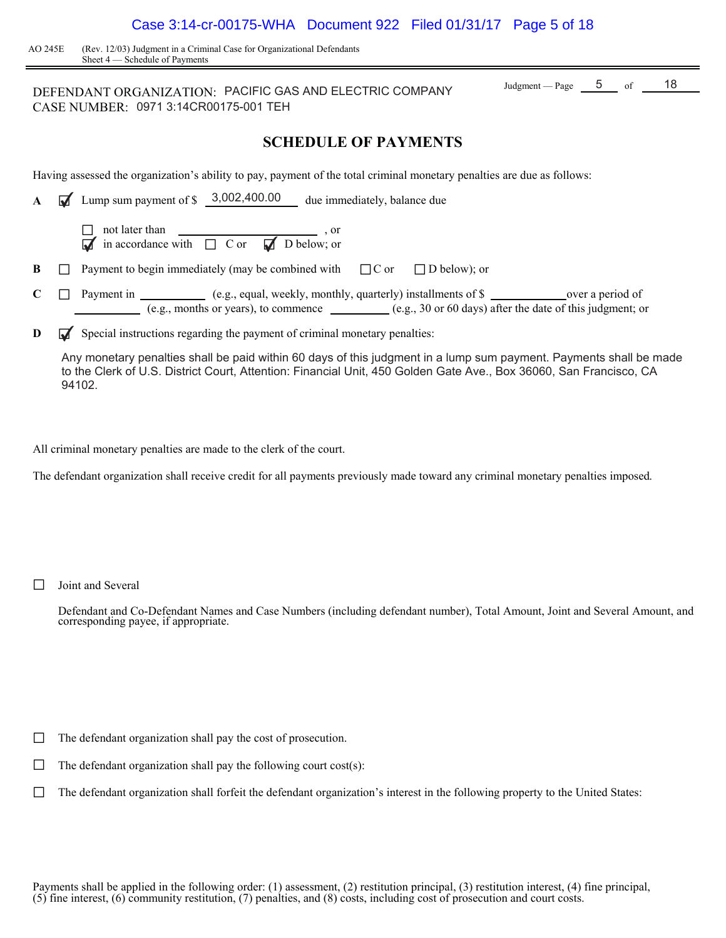| Case 3:14-cr-00175-WHA  Document 922  Filed 01/31/17  Page 5 of 18 |  |  |  |
|--------------------------------------------------------------------|--|--|--|
|--------------------------------------------------------------------|--|--|--|

AO 245E (Rev. 12/03) Judgment in a Criminal Case for Organizational Defendants Sheet 4 — Schedule of Payments

### DEFENDANT ORGANIZATION: PACIFIC GAS AND ELECTRIC COMPANY  $J_{\text{udgment}} = \frac{5}{2}$  of  $\frac{18}{2}$ CASE NUMBER: 0971 3:14CR00175-001 TEH

### **SCHEDULE OF PAYMENTS**

Having assessed the organization's ability to pay, payment of the total criminal monetary penalties are due as follows:

| A | 3,002,400.00<br>Lump sum payment of \$<br>due immediately, balance due                                                                                                                              |
|---|-----------------------------------------------------------------------------------------------------------------------------------------------------------------------------------------------------|
|   | not later than $\overline{\phantom{a}}$ , or<br>$\overline{\phantom{a}}$ in accordance with $\overline{\phantom{a}}$ C or $\overline{\phantom{a}}$ D below; or<br>$\overline{\mathbf{M}}$           |
| B | Payment to begin immediately (may be combined with $\Box$ C or<br>$\Box$ D below); or                                                                                                               |
|   | (e.g., equal, weekly, monthly, quarterly) installments of \$<br>Payment in<br>over a period of<br>(e.g., months or years), to commence $($ e.g., 30 or 60 days) after the date of this judgment; or |

**D**  $\mathbf{\mathbf{\mathcal{F}}}$  Special instructions regarding the payment of criminal monetary penalties:

Any monetary penalties shall be paid within 60 days of this judgment in a lump sum payment. Payments shall be made to the Clerk of U.S. District Court, Attention: Financial Unit, 450 Golden Gate Ave., Box 36060, San Francisco, CA 94102.

All criminal monetary penalties are made to the clerk of the court.

The defendant organization shall receive credit for all payments previously made toward any criminal monetary penalties imposed.

 $\Box$  Joint and Several

Defendant and Co-Defendant Names and Case Numbers (including defendant number), Total Amount, Joint and Several Amount, and corresponding payee, if appropriate.

 $\Box$  The defendant organization shall pay the cost of prosecution.

 $\Box$  The defendant organization shall pay the following court cost(s):

 $\Box$  The defendant organization shall forfeit the defendant organization's interest in the following property to the United States: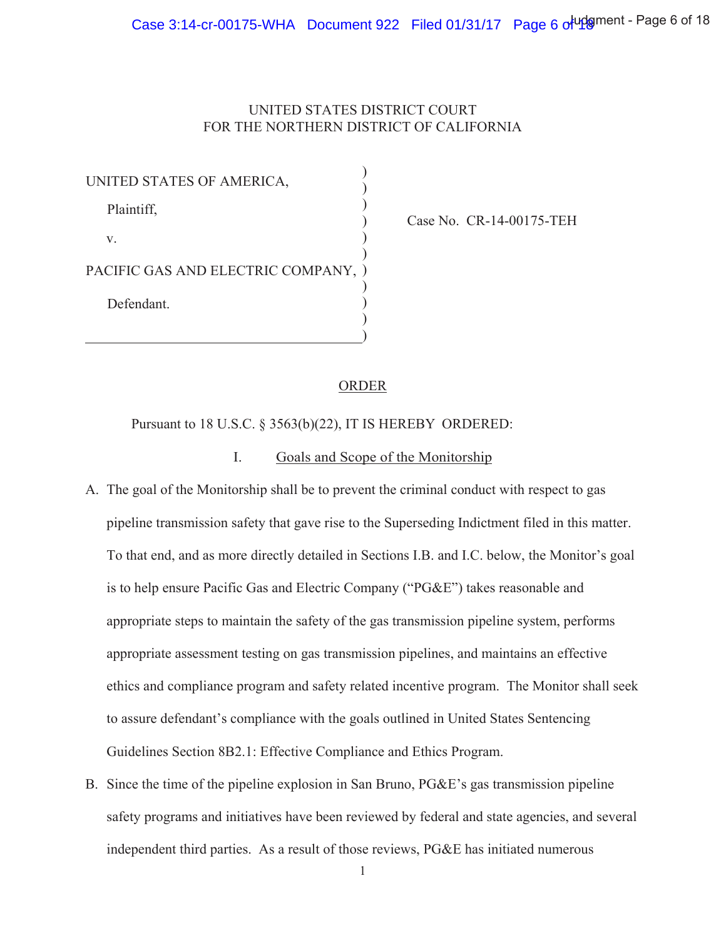### UNITED STATES DISTRICT COURT FOR THE NORTHERN DISTRICT OF CALIFORNIA

| UNITED STATES OF AMERICA,           |  |
|-------------------------------------|--|
| Plaintiff,                          |  |
| V.                                  |  |
| PACIFIC GAS AND ELECTRIC COMPANY, ) |  |
| Defendant.                          |  |
|                                     |  |

Case No. CR-14-00175-TEH

### **ORDER**

Pursuant to 18 U.S.C. § 3563(b)(22), IT IS HEREBY ORDERED:

#### I. Goals and Scope of the Monitorship

- A. The goal of the Monitorship shall be to prevent the criminal conduct with respect to gas pipeline transmission safety that gave rise to the Superseding Indictment filed in this matter. To that end, and as more directly detailed in Sections I.B. and I.C. below, the Monitor's goal is to help ensure Pacific Gas and Electric Company ("PG&E") takes reasonable and appropriate steps to maintain the safety of the gas transmission pipeline system, performs appropriate assessment testing on gas transmission pipelines, and maintains an effective ethics and compliance program and safety related incentive program. The Monitor shall seek to assure defendant's compliance with the goals outlined in United States Sentencing Guidelines Section 8B2.1: Effective Compliance and Ethics Program.
- B. Since the time of the pipeline explosion in San Bruno,  $P G \& E$ 's gas transmission pipeline safety programs and initiatives have been reviewed by federal and state agencies, and several independent third parties. As a result of those reviews, PG&E has initiated numerous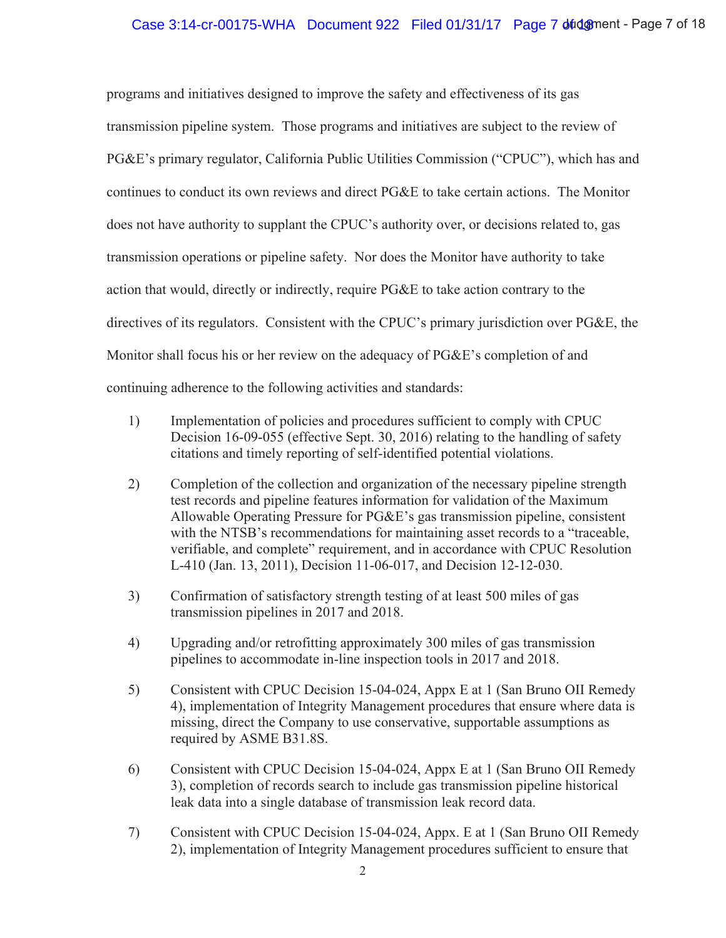programs and initiatives designed to improve the safety and effectiveness of its gas transmission pipeline system. Those programs and initiatives are subject to the review of PG&E's primary regulator, California Public Utilities Commission ("CPUC"), which has and continues to conduct its own reviews and direct PG&E to take certain actions. The Monitor does not have authority to supplant the CPUC's authority over, or decisions related to, gas transmission operations or pipeline safety. Nor does the Monitor have authority to take action that would, directly or indirectly, require PG&E to take action contrary to the directives of its regulators. Consistent with the CPUC's primary jurisdiction over PG&E, the Monitor shall focus his or her review on the adequacy of  $PGE$ 's completion of and continuing adherence to the following activities and standards:

- Implementation of policies and procedures sufficient to comply with CPUC 1) Decision 16-09-055 (effective Sept. 30, 2016) relating to the handling of safety citations and timely reporting of self-identified potential violations.
- $(2)$ Completion of the collection and organization of the necessary pipeline strength test records and pipeline features information for validation of the Maximum Allowable Operating Pressure for PG&E's gas transmission pipeline, consistent with the NTSB's recommendations for maintaining asset records to a "traceable, verifiable, and complete" requirement, and in accordance with CPUC Resolution L-410 (Jan. 13, 2011), Decision 11-06-017, and Decision 12-12-030.
- $3)$ Confirmation of satisfactory strength testing of at least 500 miles of gas transmission pipelines in 2017 and 2018.
- $4)$ Upgrading and/or retrofitting approximately 300 miles of gas transmission pipelines to accommodate in-line inspection tools in 2017 and 2018.
- $5)$ Consistent with CPUC Decision 15-04-024, Appx E at 1 (San Bruno OII Remedy 4), implementation of Integrity Management procedures that ensure where data is missing, direct the Company to use conservative, supportable assumptions as required by ASME B31.8S.
- Consistent with CPUC Decision 15-04-024, Appx E at 1 (San Bruno OII Remedy 6) 3), completion of records search to include gas transmission pipeline historical leak data into a single database of transmission leak record data.
- 7) Consistent with CPUC Decision 15-04-024, Appx. E at 1 (San Bruno OII Remedy 2), implementation of Integrity Management procedures sufficient to ensure that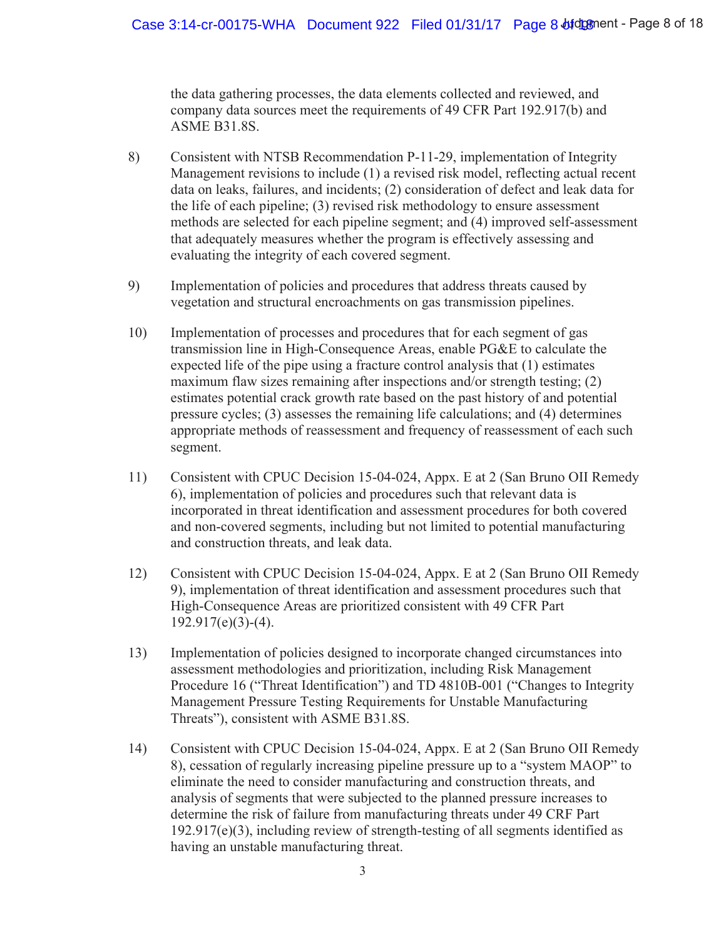the data gathering processes, the data elements collected and reviewed, and company data sources meet the requirements of 49 CFR Part 192.917(b) and ASME B31.8S.

- 8) Consistent with NTSB Recommendation P-11-29, implementation of Integrity Management revisions to include (1) a revised risk model, reflecting actual recent data on leaks, failures, and incidents; (2) consideration of defect and leak data for the life of each pipeline;  $(3)$  revised risk methodology to ensure assessment methods are selected for each pipeline segment; and (4) improved self-assessment that adequately measures whether the program is effectively assessing and evaluating the integrity of each covered segment.
- 9) Implementation of policies and procedures that address threats caused by vegetation and structural encroachments on gas transmission pipelines.
- 10) Implementation of processes and procedures that for each segment of gas transmission line in High-Consequence Areas, enable PG&E to calculate the expected life of the pipe using a fracture control analysis that  $(1)$  estimates maximum flaw sizes remaining after inspections and/or strength testing;  $(2)$ estimates potential crack growth rate based on the past history of and potential pressure cycles;  $(3)$  assesses the remaining life calculations; and  $(4)$  determines appropriate methods of reassessment and frequency of reassessment of each such segment.
- 11) Consistent with CPUC Decision 15-04-024, Appx. E at 2 (San Bruno OII Remedy 6), implementation of policies and procedures such that relevant data is incorporated in threat identification and assessment procedures for both covered and non-covered segments, including but not limited to potential manufacturing and construction threats, and leak data.
- 12) Consistent with CPUC Decision 15-04-024, Appx. E at 2 (San Bruno OII Remedy 9), implementation of threat identification and assessment procedures such that High-Consequence Areas are prioritized consistent with 49 CFR Part  $192.917(e)(3)-(4)$ .
- 13) Implementation of policies designed to incorporate changed circumstances into assessment methodologies and prioritization, including Risk Management Procedure 16 ("Threat Identification") and TD 4810B-001 ("Changes to Integrity Management Pressure Testing Requirements for Unstable Manufacturing Threats"), consistent with ASME B31.8S.
- 14) Consistent with CPUC Decision 15-04-024, Appx. E at 2 (San Bruno OII Remedy 8), cessation of regularly increasing pipeline pressure up to a "system MAOP" to eliminate the need to consider manufacturing and construction threats, and analysis of segments that were subjected to the planned pressure increases to determine the risk of failure from manufacturing threats under 49 CRF Part  $192.917(e)(3)$ , including review of strength-testing of all segments identified as having an unstable manufacturing threat.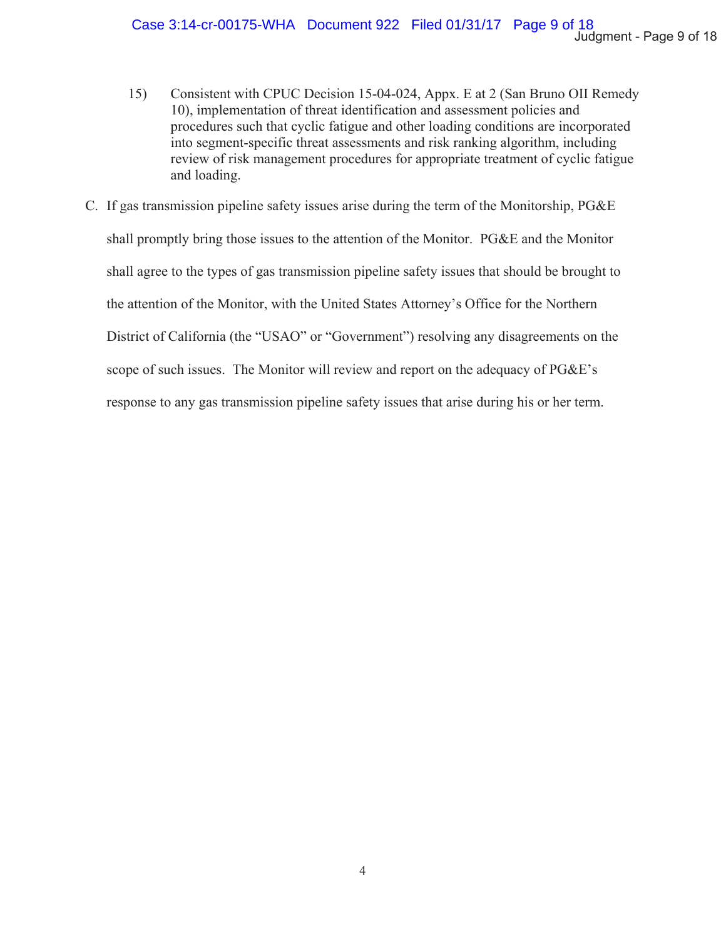- Consistent with CPUC Decision 15-04-024, Appx. E at 2 (San Bruno OII Remedy 15) 10), implementation of threat identification and assessment policies and procedures such that cyclic fatigue and other loading conditions are incorporated into segment-specific threat assessments and risk ranking algorithm, including review of risk management procedures for appropriate treatment of cyclic fatigue and loading.
- C. If gas transmission pipeline safety issues arise during the term of the Monitorship, PG&E shall promptly bring those issues to the attention of the Monitor. PG&E and the Monitor shall agree to the types of gas transmission pipeline safety issues that should be brought to the attention of the Monitor, with the United States Attorney's Office for the Northern District of California (the "USAO" or "Government") resolving any disagreements on the scope of such issues. The Monitor will review and report on the adequacy of PG&E's response to any gas transmission pipeline safety issues that arise during his or her term.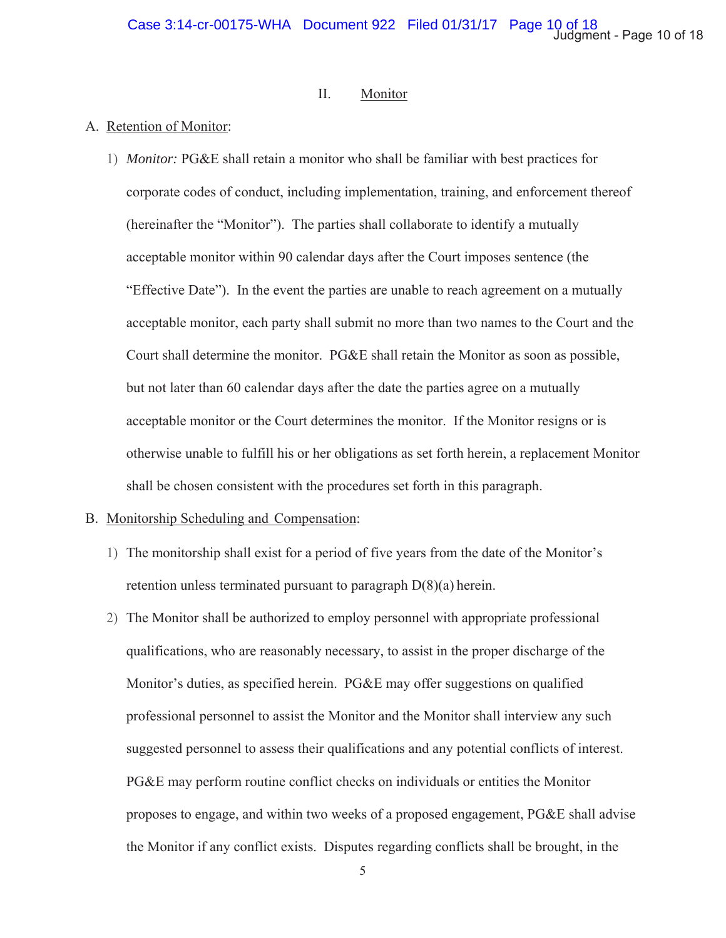#### $II.$ Monitor

### A. Retention of Monitor:

1) Monitor: PG&E shall retain a monitor who shall be familiar with best practices for corporate codes of conduct, including implementation, training, and enforcement thereof (hereinafter the "Monitor"). The parties shall collaborate to identify a mutually acceptable monitor within 90 calendar days after the Court imposes sentence (the "Effective Date"). In the event the parties are unable to reach agreement on a mutually acceptable monitor, each party shall submit no more than two names to the Court and the Court shall determine the monitor. PG&E shall retain the Monitor as soon as possible, but not later than 60 calendar days after the date the parties agree on a mutually acceptable monitor or the Court determines the monitor. If the Monitor resigns or is otherwise unable to fulfill his or her obligations as set forth herein, a replacement Monitor shall be chosen consistent with the procedures set forth in this paragraph.

### B. Monitorship Scheduling and Compensation:

- 1) The monitorship shall exist for a period of five years from the date of the Monitor's retention unless terminated pursuant to paragraph  $D(8)(a)$  herein.
- 2) The Monitor shall be authorized to employ personnel with appropriate professional qualifications, who are reasonably necessary, to assist in the proper discharge of the Monitor's duties, as specified herein. PG&E may offer suggestions on qualified professional personnel to assist the Monitor and the Monitor shall interview any such suggested personnel to assess their qualifications and any potential conflicts of interest. PG&E may perform routine conflict checks on individuals or entities the Monitor proposes to engage, and within two weeks of a proposed engagement, PG&E shall advise the Monitor if any conflict exists. Disputes regarding conflicts shall be brought, in the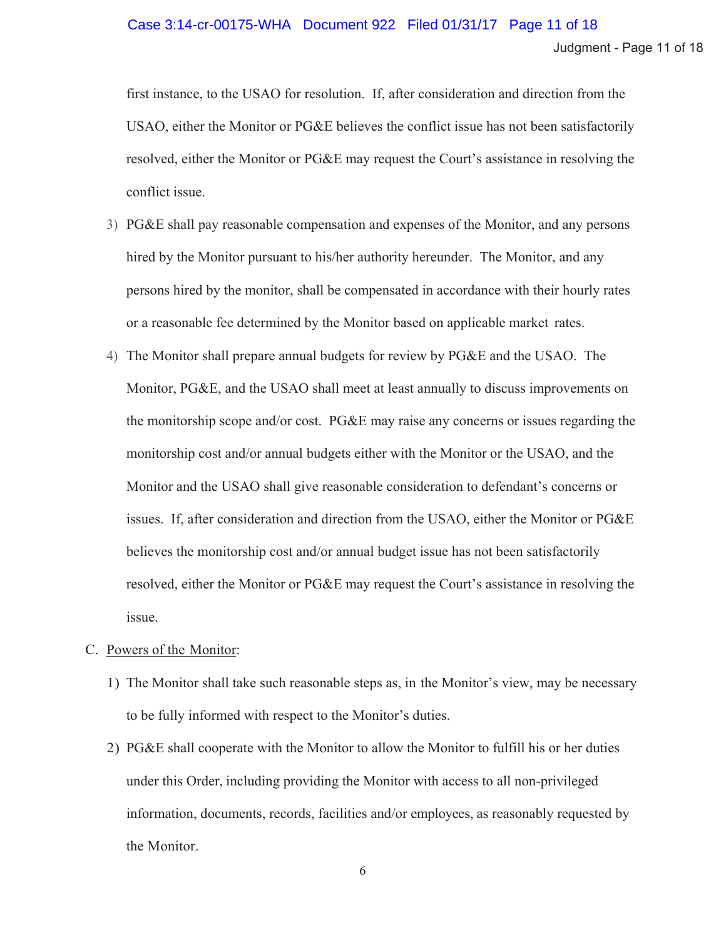# Case 3:14-cr-00175-WHA Document 922 Filed 01/31/17 Page 11 of 18

Judgment - Page 11 of 18

first instance, to the USAO for resolution. If, after consideration and direction from the USAO, either the Monitor or PG&E believes the conflict issue has not been satisfactorily resolved, either the Monitor or PG&E may request the Court's assistance in resolving the conflict issue.

- 3) PG&E shall pay reasonable compensation and expenses of the Monitor, and any persons hired by the Monitor pursuant to his/her authority hereunder. The Monitor, and any persons hired by the monitor, shall be compensated in accordance with their hourly rates or a reasonable fee determined by the Monitor based on applicable market rates.
- 4) The Monitor shall prepare annual budgets for review by PG&E and the USAO. The Monitor, PG&E, and the USAO shall meet at least annually to discuss improvements on the monitorship scope and/or cost. PG&E may raise any concerns or issues regarding the monitorship cost and/or annual budgets either with the Monitor or the USAO, and the Monitor and the USAO shall give reasonable consideration to defendant's concerns or issues. If, after consideration and direction from the USAO, either the Monitor or PG&E believes the monitorship cost and/or annual budget issue has not been satisfactorily resolved, either the Monitor or PG&E may request the Court's assistance in resolving the issue.
- C. Powers of the Monitor:
	- 1) The Monitor shall take such reasonable steps as, in the Monitor's view, may be necessary to be fully informed with respect to the Monitor's duties.
	- 2) PG&E shall cooperate with the Monitor to allow the Monitor to fulfill his or her duties under this Order, including providing the Monitor with access to all non-privileged information, documents, records, facilities and/or employees, as reasonably requested by the Monitor.

6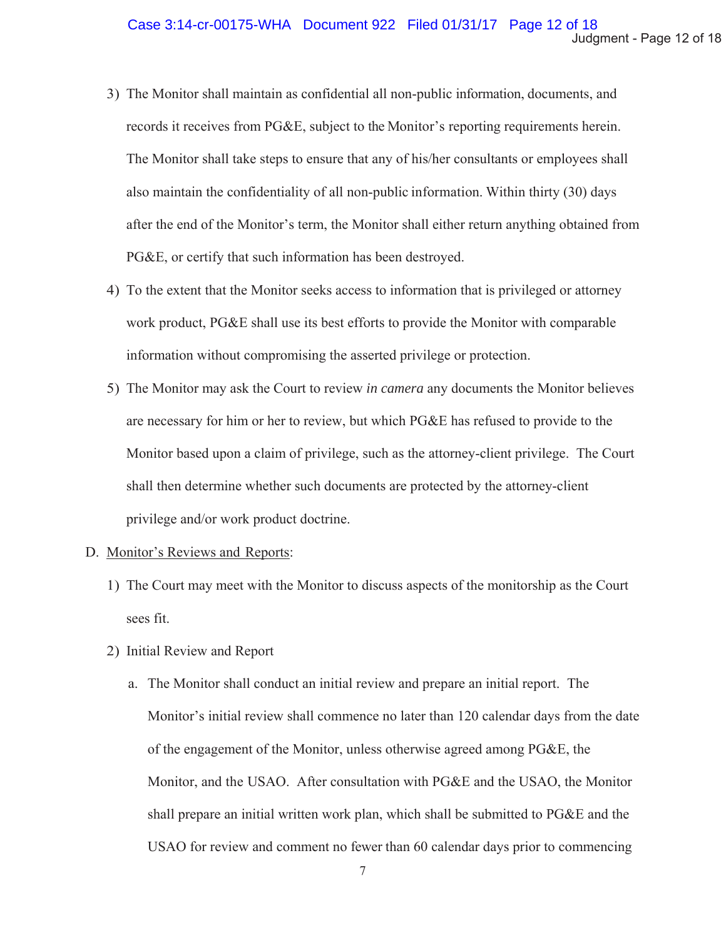- 3) The Monitor shall maintain as confidential all non-public information, documents, and records it receives from PG&E, subject to the Monitor's reporting requirements herein. The Monitor shall take steps to ensure that any of his/her consultants or employees shall also maintain the confidentiality of all non-public information. Within thirty (30) days after the end of the Monitor's term, the Monitor shall either return anything obtained from PG&E, or certify that such information has been destroyed.
- 4) To the extent that the Monitor seeks access to information that is privileged or attorney work product, PG&E shall use its best efforts to provide the Monitor with comparable information without compromising the asserted privilege or protection.
- 5) The Monitor may ask the Court to review *in camera* any documents the Monitor believes are necessary for him or her to review, but which PG&E has refused to provide to the Monitor based upon a claim of privilege, such as the attorney-client privilege. The Court shall then determine whether such documents are protected by the attorney-client privilege and/or work product doctrine.

### D. Monitor's Reviews and Reports:

- 1) The Court may meet with the Monitor to discuss aspects of the monitorship as the Court sees fit.
- 2) Initial Review and Report
	- a. The Monitor shall conduct an initial review and prepare an initial report. The Monitor's initial review shall commence no later than 120 calendar days from the date of the engagement of the Monitor, unless otherwise agreed among PG&E, the Monitor, and the USAO. After consultation with PG&E and the USAO, the Monitor shall prepare an initial written work plan, which shall be submitted to PG&E and the USAO for review and comment no fewer than 60 calendar days prior to commencing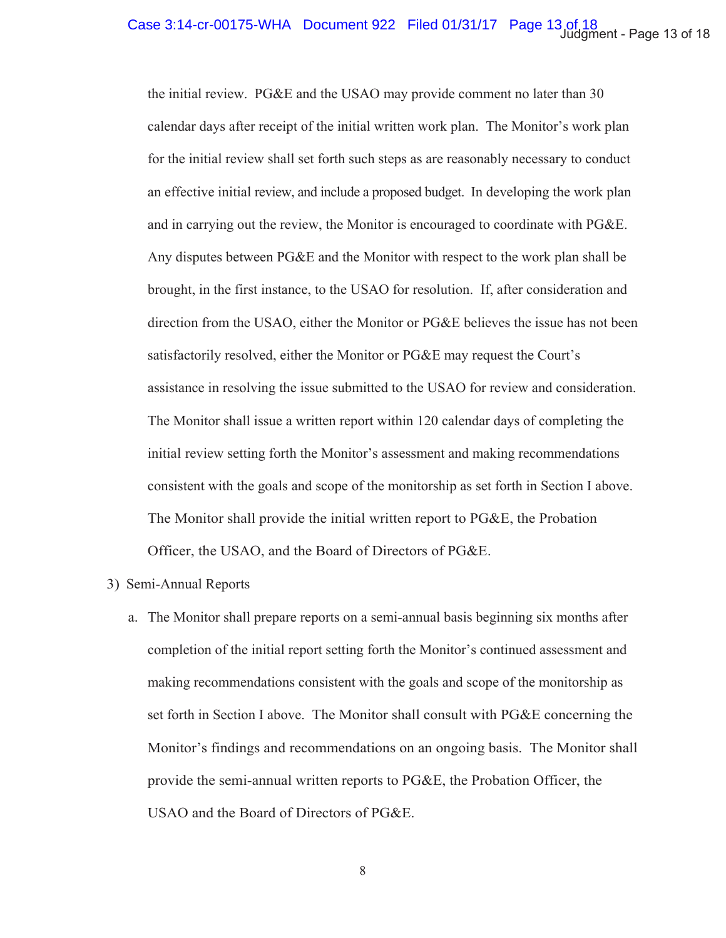the initial review. PG&E and the USAO may provide comment no later than 30 calendar days after receipt of the initial written work plan. The Monitor's work plan for the initial review shall set forth such steps as are reasonably necessary to conduct an effective initial review, and include a proposed budget. In developing the work plan and in carrying out the review, the Monitor is encouraged to coordinate with PG&E. Any disputes between PG&E and the Monitor with respect to the work plan shall be brought, in the first instance, to the USAO for resolution. If, after consideration and direction from the USAO, either the Monitor or PG&E believes the issue has not been satisfactorily resolved, either the Monitor or PG&E may request the Court's assistance in resolving the issue submitted to the USAO for review and consideration. The Monitor shall issue a written report within 120 calendar days of completing the initial review setting forth the Monitor's assessment and making recommendations consistent with the goals and scope of the monitorship as set forth in Section I above. The Monitor shall provide the initial written report to PG&E, the Probation Officer, the USAO, and the Board of Directors of PG&E.

### 3) Semi-Annual Reports

a. The Monitor shall prepare reports on a semi-annual basis beginning six months after completion of the initial report setting forth the Monitor's continued assessment and making recommendations consistent with the goals and scope of the monitorship as set forth in Section I above. The Monitor shall consult with PG&E concerning the Monitor's findings and recommendations on an ongoing basis. The Monitor shall provide the semi-annual written reports to PG&E, the Probation Officer, the USAO and the Board of Directors of PG&E.

8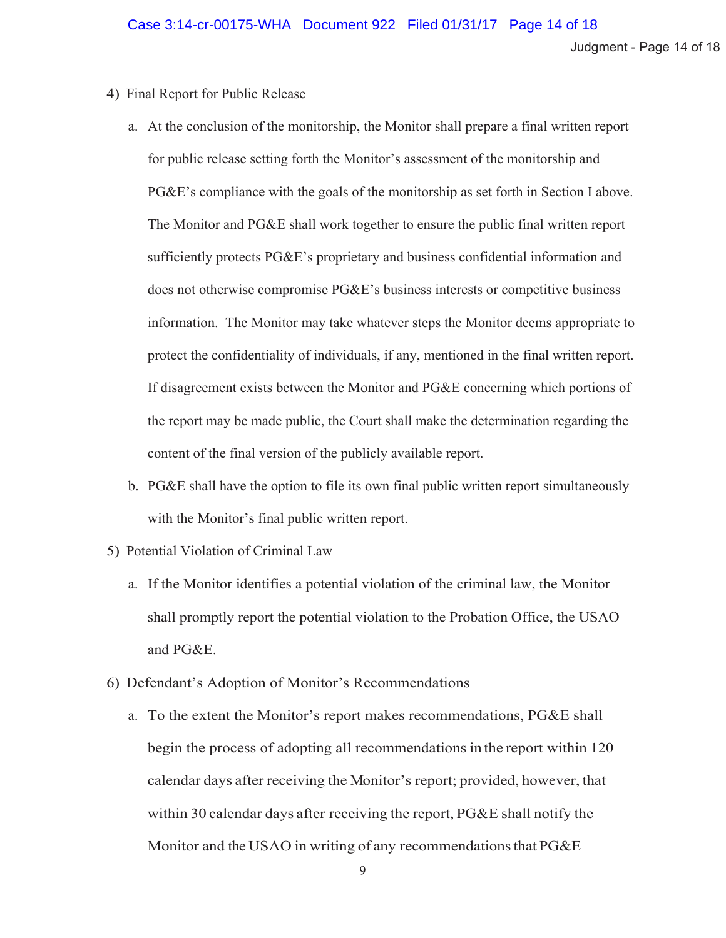Judgment - Page 14 of 18

- 4) Final Report for Public Release
	- a. At the conclusion of the monitorship, the Monitor shall prepare a final written report for public release setting forth the Monitor's assessment of the monitorship and  $PG\&E$ 's compliance with the goals of the monitorship as set forth in Section I above. The Monitor and PG&E shall work together to ensure the public final written report sufficiently protects PG&E's proprietary and business confidential information and does not otherwise compromise  $P G \& E$ 's business interests or competitive business information. The Monitor may take whatever steps the Monitor deems appropriate to protect the confidentiality of individuals, if any, mentioned in the final written report. If disagreement exists between the Monitor and PG&E concerning which portions of the report may be made public, the Court shall make the determination regarding the content of the final version of the publicly available report.
	- b. PG&E shall have the option to file its own final public written report simultaneously with the Monitor's final public written report.
- 5) Potential Violation of Criminal Law
	- a. If the Monitor identifies a potential violation of the criminal law, the Monitor shall promptly report the potential violation to the Probation Office, the USAO and PG&E.
- 6) Defendant's Adoption of Monitor's Recommendations
	- a. To the extent the Monitor's report makes recommendations, PG&E shall begin the process of adopting all recommendations in the report within 120 calendar days after receiving the Monitor's report; provided, however, that within 30 calendar days after receiving the report, PG&E shall notify the Monitor and the USAO in writing of any recommendations that PG&E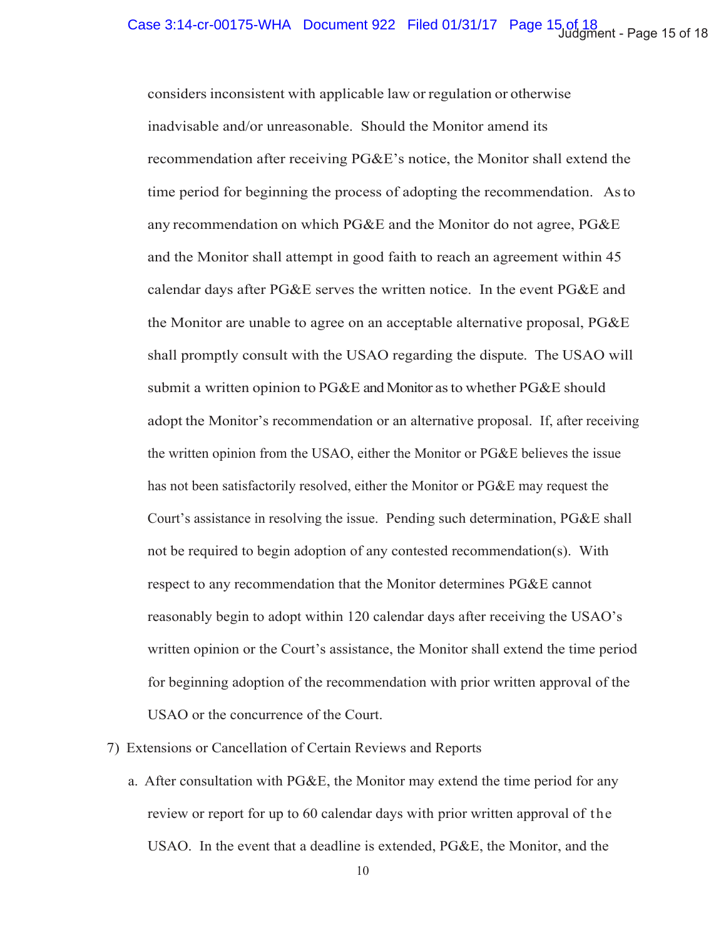considers inconsistent with applicable law or regulation or otherwise inadvisable and/or unreasonable. Should the Monitor amend its recommendation after receiving PG&E's notice, the Monitor shall extend the time period for beginning the process of adopting the recommendation. As to any recommendation on which PG&E and the Monitor do not agree, PG&E and the Monitor shall attempt in good faith to reach an agreement within 45 calendar days after PG&E serves the written notice. In the event PG&E and the Monitor are unable to agree on an acceptable alternative proposal, PG&E shall promptly consult with the USAO regarding the dispute. The USAO will submit a written opinion to  $PGEE$  and Monitor as to whether  $PGEE$  should adopt the Monitor's recommendation or an alternative proposal. If, after receiving the written opinion from the USAO, either the Monitor or PG&E believes the issue has not been satisfactorily resolved, either the Monitor or PG&E may request the Court's assistance in resolving the issue. Pending such determination, PG&E shall not be required to begin adoption of any contested recommendation(s). With respect to any recommendation that the Monitor determines PG&E cannot reasonably begin to adopt within 120 calendar days after receiving the USAO's written opinion or the Court's assistance, the Monitor shall extend the time period for beginning adoption of the recommendation with prior written approval of the USAO or the concurrence of the Court.

### 7) Extensions or Cancellation of Certain Reviews and Reports

a. After consultation with PG&E, the Monitor may extend the time period for any review or report for up to 60 calendar days with prior written approval of the USAO. In the event that a deadline is extended, PG&E, the Monitor, and the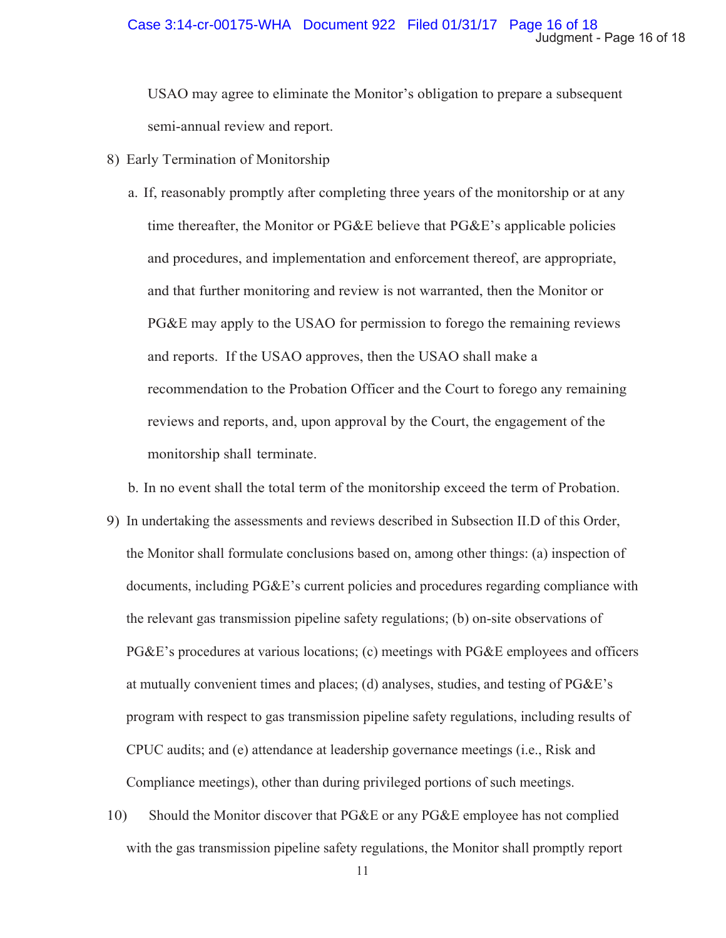USAO may agree to eliminate the Monitor's obligation to prepare a subsequent semi-annual review and report.

- 8) Early Termination of Monitorship
	- a. If, reasonably promptly after completing three years of the monitorship or at any time thereafter, the Monitor or  $P G \& E$  believe that  $P G \& E$ 's applicable policies and procedures, and implementation and enforcement thereof, are appropriate, and that further monitoring and review is not warranted, then the Monitor or PG&E may apply to the USAO for permission to forego the remaining reviews and reports. If the USAO approves, then the USAO shall make a recommendation to the Probation Officer and the Court to forego any remaining reviews and reports, and, upon approval by the Court, the engagement of the monitorship shall terminate.

b. In no event shall the total term of the monitorship exceed the term of Probation.

- 9) In undertaking the assessments and reviews described in Subsection II.D of this Order, the Monitor shall formulate conclusions based on, among other things: (a) inspection of documents, including PG&E's current policies and procedures regarding compliance with the relevant gas transmission pipeline safety regulations; (b) on-site observations of PG&E's procedures at various locations; (c) meetings with PG&E employees and officers at mutually convenient times and places; (d) analyses, studies, and testing of PG&E's program with respect to gas transmission pipeline safety regulations, including results of CPUC audits; and (e) attendance at leadership governance meetings (i.e., Risk and Compliance meetings), other than during privileged portions of such meetings.
- 10) Should the Monitor discover that PG&E or any PG&E employee has not complied with the gas transmission pipeline safety regulations, the Monitor shall promptly report

11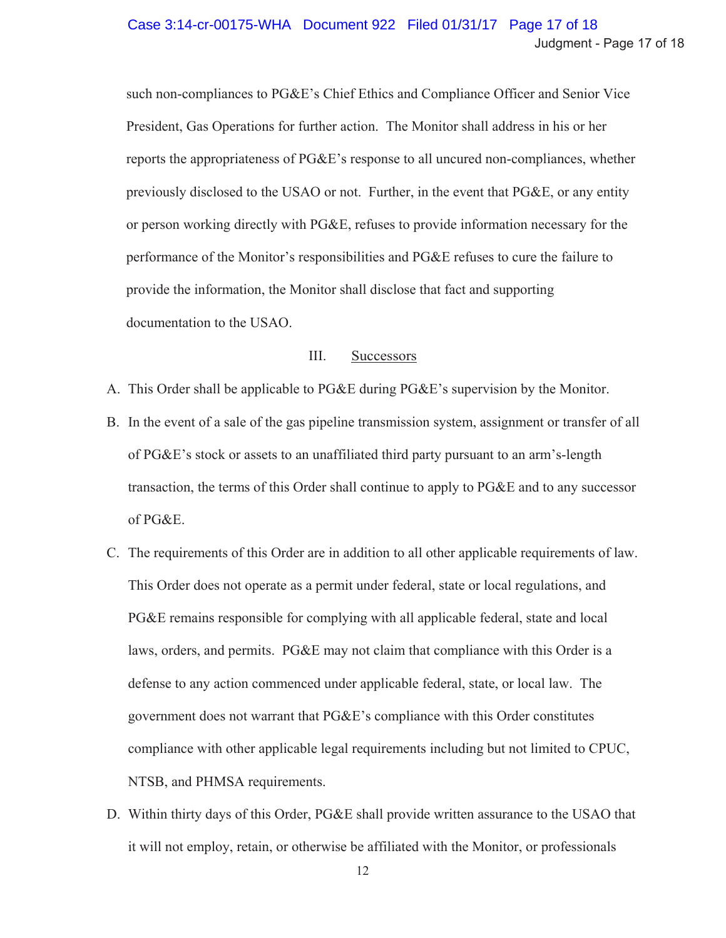### Case 3:14-cr-00175-WHA Document 922 Filed 01/31/17 Page 17 of 18 Judgment - Page 17 of 18

such non-compliances to PG&E's Chief Ethics and Compliance Officer and Senior Vice President, Gas Operations for further action. The Monitor shall address in his or her reports the appropriateness of PG&E's response to all uncured non-compliances, whether previously disclosed to the USAO or not. Further, in the event that PG&E, or any entity or person working directly with PG&E, refuses to provide information necessary for the performance of the Monitor's responsibilities and PG&E refuses to cure the failure to provide the information, the Monitor shall disclose that fact and supporting documentation to the USAO.

#### III. **Successors**

- A. This Order shall be applicable to PG&E during PG&E's supervision by the Monitor.
- B. In the event of a sale of the gas pipeline transmission system, assignment or transfer of all of PG&E's stock or assets to an unaffiliated third party pursuant to an arm's-length transaction, the terms of this Order shall continue to apply to PG&E and to any successor of PG&E.
- C. The requirements of this Order are in addition to all other applicable requirements of law. This Order does not operate as a permit under federal, state or local regulations, and PG&E remains responsible for complying with all applicable federal, state and local laws, orders, and permits. PG&E may not claim that compliance with this Order is a defense to any action commenced under applicable federal, state, or local law. The government does not warrant that PG&E's compliance with this Order constitutes compliance with other applicable legal requirements including but not limited to CPUC, NTSB, and PHMSA requirements.
- D. Within thirty days of this Order, PG&E shall provide written assurance to the USAO that it will not employ, retain, or otherwise be affiliated with the Monitor, or professionals